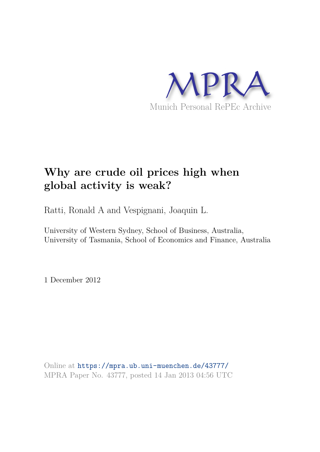

# **Why are crude oil prices high when global activity is weak?**

Ratti, Ronald A and Vespignani, Joaquin L.

University of Western Sydney, School of Business, Australia, University of Tasmania, School of Economics and Finance, Australia

1 December 2012

Online at https://mpra.ub.uni-muenchen.de/43777/ MPRA Paper No. 43777, posted 14 Jan 2013 04:56 UTC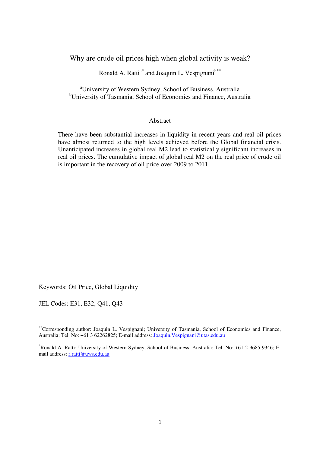Why are crude oil prices high when global activity is weak?

Ronald A. Ratti<sup>a\*</sup> and Joaquin L. Vespignani $b***$ 

<sup>a</sup>University of Western Sydney, School of Business, Australia <sup>b</sup>University of Tasmania, School of Economics and Finance, Australia

## **Abstract**

There have been substantial increases in liquidity in recent years and real oil prices have almost returned to the high levels achieved before the Global financial crisis. Unanticipated increases in global real M2 lead to statistically significant increases in real oil prices. The cumulative impact of global real M2 on the real price of crude oil is important in the recovery of oil price over 2009 to 2011.

Keywords: Oil Price, Global Liquidity

JEL Codes: E31, E32, Q41, Q43

\*\*Corresponding author: Joaquin L. Vespignani; University of Tasmania, School of Economics and Finance, Australia; Tel. No: +61 3 62262825; E-mail address[: Joaquin.Vespignani@utas.edu.au](mailto:Joaquin.Vespignani@utas.edu.au) 

\*Ronald A. Ratti; University of Western Sydney, School of Business, Australia; Tel. No: +61 2 9685 9346; Email address: [r.ratti@uws.edu.au](mailto:r.ratti@uws.edu.au)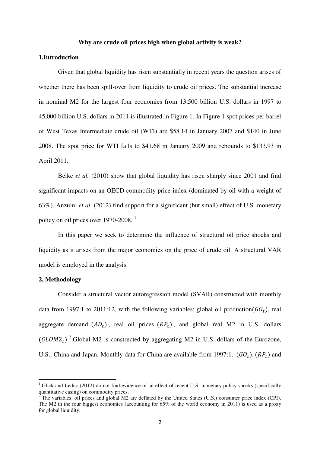### **Why are crude oil prices high when global activity is weak?**

# **1.Introduction**

Given that global liquidity has risen substantially in recent years the question arises of whether there has been spill-over from liquidity to crude oil prices. The substantial increase in nominal M2 for the largest four economies from 13,500 billion U.S. dollars in 1997 to 45,000 billion U.S. dollars in 2011 is illustrated in Figure 1. In Figure 1 spot prices per barrel of West Texas Intermediate crude oil (WTI) are \$58.14 in January 2007 and \$140 in June 2008. The spot price for WTI falls to \$41.68 in January 2009 and rebounds to \$133.93 in April 2011.

Belke *et al.* (2010) show that global liquidity has risen sharply since 2001 and find significant impacts on an OECD commodity price index (dominated by oil with a weight of 63%). Anzuini *et al.* (2012) find support for a significant (but small) effect of U.S. monetary policy on oil prices over 1970-2008.<sup>1</sup>

In this paper we seek to determine the influence of structural oil price shocks and liquidity as it arises from the major economies on the price of crude oil. A structural VAR model is employed in the analysis.

## **2. Methodology**

<u>.</u>

Consider a structural vector autoregression model (SVAR) constructed with monthly data from 1997:1 to 2011:12, with the following variables: global oil production  $(GO_t)$ , real aggregate demand  $(AD_t)$ , real oil prices  $(RP_t)$ , and global real M2 in U.S. dollars  $(GLOM2<sub>t</sub>)$ <sup>2</sup> Global M2 is constructed by aggregating M2 in U.S. dollars of the Eurozone, U.S., China and Japan. Monthly data for China are available from 1997:1.  $(GO_t)$ ,  $(RP_t)$  and

<sup>&</sup>lt;sup>1</sup> Glick and Leduc (2012) do not find evidence of an effect of recent U.S. monetary policy shocks (specifically quantitative easing) on commodity prices.<br><sup>2</sup> The veriables: eil prices and clobal M2.

The variables: oil prices and global M2 are deflated by the United States (U.S.) consumer price index (CPI). The M2 in the four biggest economies (accounting for 65% of the world economy in 2011) is used as a proxy for global liquidity.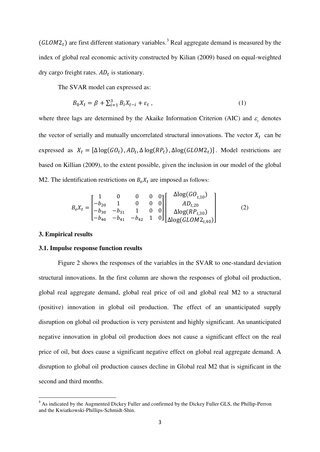$(GLOM2<sub>t</sub>)$  are first different stationary variables.<sup>3</sup> Real aggregate demand is measured by the index of global real economic activity constructed by Kilian (2009) based on equal-weighted dry cargo freight rates.  $AD_t$  is stationary.

The SVAR model can expressed as:

$$
B_0 X_t = \beta + \sum_{i=1}^3 B_i X_{t-i} + \varepsilon_t \,, \tag{1}
$$

where three lags are determined by the Akaike Information Criterion (AIC) and  $\varepsilon$ <sub>t</sub> denotes the vector of serially and mutually uncorrelated structural innovations. The vector  $X_t$  can be expressed as  $X_t = [\Delta \log(GO_t), AD_t, \Delta \log(RP_t), \Delta \log(GLOM2_t)]$ . Model restrictions are based on Killian (2009), to the extent possible, given the inclusion in our model of the global M2. The identification restrictions on  $B_0X_t$  are imposed as follows:

$$
B_oX_t = \begin{bmatrix} 1 & 0 & 0 & 0 & 0 \\ -b_{20} & 1 & 0 & 0 & 0 \\ -b_{30} & -b_{31} & 1 & 0 & 0 \\ -b_{40} & -b_{41} & -b_{42} & 1 & 0 \end{bmatrix} \begin{bmatrix} \Delta \log(GO_{t,10}) \\ AD_{t,20} \\ \Delta \log(RP_{t,30}) \\ \Delta \log(GLOM2_{t,40}) \end{bmatrix}
$$
(2)

## **3. Empirical results**

<u>.</u>

#### **3.1. Impulse response function results**

Figure 2 shows the responses of the variables in the SVAR to one-standard deviation structural innovations. In the first column are shown the responses of global oil production, global real aggregate demand, global real price of oil and global real M2 to a structural (positive) innovation in global oil production. The effect of an unanticipated supply disruption on global oil production is very persistent and highly significant. An unanticipated negative innovation in global oil production does not cause a significant effect on the real price of oil, but does cause a significant negative effect on global real aggregate demand. A disruption to global oil production causes decline in Global real M2 that is significant in the second and third months.

<sup>&</sup>lt;sup>3</sup> As indicated by the Augmented Dickey Fuller and confirmed by the Dickey Fuller GLS, the Phillip-Perron and the Kwiatkowski-Phillips-Schmidt-Shin.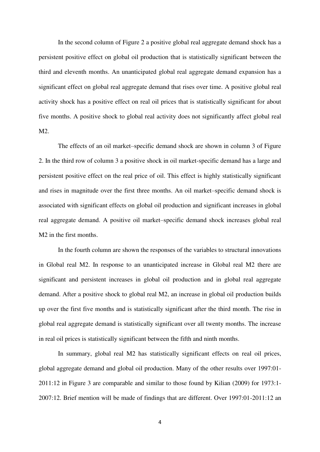In the second column of Figure 2 a positive global real aggregate demand shock has a persistent positive effect on global oil production that is statistically significant between the third and eleventh months. An unanticipated global real aggregate demand expansion has a significant effect on global real aggregate demand that rises over time. A positive global real activity shock has a positive effect on real oil prices that is statistically significant for about five months. A positive shock to global real activity does not significantly affect global real M2.

 The effects of an oil market–specific demand shock are shown in column 3 of Figure 2. In the third row of column 3 a positive shock in oil market-specific demand has a large and persistent positive effect on the real price of oil. This effect is highly statistically significant and rises in magnitude over the first three months. An oil market–specific demand shock is associated with significant effects on global oil production and significant increases in global real aggregate demand. A positive oil market–specific demand shock increases global real M2 in the first months.

In the fourth column are shown the responses of the variables to structural innovations in Global real M2. In response to an unanticipated increase in Global real M2 there are significant and persistent increases in global oil production and in global real aggregate demand. After a positive shock to global real M2, an increase in global oil production builds up over the first five months and is statistically significant after the third month. The rise in global real aggregate demand is statistically significant over all twenty months. The increase in real oil prices is statistically significant between the fifth and ninth months.

In summary, global real M2 has statistically significant effects on real oil prices, global aggregate demand and global oil production. Many of the other results over 1997:01- 2011:12 in Figure 3 are comparable and similar to those found by Kilian (2009) for 1973:1- 2007:12. Brief mention will be made of findings that are different. Over 1997:01-2011:12 an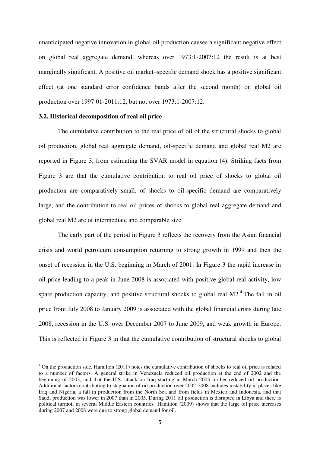unanticipated negative innovation in global oil production causes a significant negative effect on global real aggregate demand, whereas over 1973:1-2007:12 the result is at best marginally significant. A positive oil market–specific demand shock has a positive significant effect (at one standard error confidence bands after the second month) on global oil production over 1997:01-2011:12, but not over 1973:1-2007:12.

## **3.2. Historical decomposition of real oil price**

<u>.</u>

The cumulative contribution to the real price of oil of the structural shocks to global oil production, global real aggregate demand, oil-specific demand and global real M2 are reported in Figure 3, from estimating the SVAR model in equation (4). Striking facts from Figure 3 are that the cumulative contribution to real oil price of shocks to global oil production are comparatively small, of shocks to oil-specific demand are comparatively large, and the contribution to real oil prices of shocks to global real aggregate demand and global real M2 are of intermediate and comparable size.

The early part of the period in Figure 3 reflects the recovery from the Asian financial crisis and world petroleum consumption returning to strong growth in 1999 and then the onset of recession in the U.S. beginning in March of 2001. In Figure 3 the rapid increase in oil price leading to a peak in June 2008 is associated with positive global real activity, low spare production capacity, and positive structural shocks to global real  $M2<sup>4</sup>$ . The fall in oil price from July 2008 to January 2009 is associated with the global financial crisis during late 2008, recession in the U.S. over December 2007 to June 2009, and weak growth in Europe. This is reflected in Figure 3 in that the cumulative contribution of structural shocks to global

<sup>&</sup>lt;sup>4</sup> On the production side, Hamilton (2011) notes the cumulative contribution of shocks to real oil price is related to a number of factors. A general strike in Venezuela reduced oil production at the end of 2002 and the beginning of 2003, and that the U.S. attack on Iraq starting in March 2003 further reduced oil production. Additional factors contributing to stagnation of oil production over 2002-2008 includes instability in places like Iraq and Nigeria, a fall in production from the North Sea and from fields in Mexico and Indonesia, and that Saudi production was lower in 2007 than in 2005. During 2011 oil production is disrupted in Libya and there is political turmoil in several Middle Eastern countries. Hamilton (2009) shows that the large oil price increases during 2007 and 2008 were due to strong global demand for oil.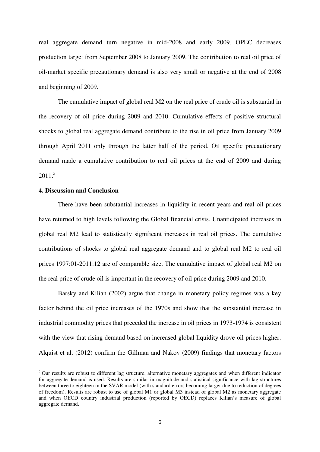real aggregate demand turn negative in mid-2008 and early 2009. OPEC decreases production target from September 2008 to January 2009. The contribution to real oil price of oil-market specific precautionary demand is also very small or negative at the end of 2008 and beginning of 2009.

The cumulative impact of global real M2 on the real price of crude oil is substantial in the recovery of oil price during 2009 and 2010. Cumulative effects of positive structural shocks to global real aggregate demand contribute to the rise in oil price from January 2009 through April 2011 only through the latter half of the period. Oil specific precautionary demand made a cumulative contribution to real oil prices at the end of 2009 and during  $2011<sup>5</sup>$ 

# **4. Discussion and Conclusion**

-

There have been substantial increases in liquidity in recent years and real oil prices have returned to high levels following the Global financial crisis. Unanticipated increases in global real M2 lead to statistically significant increases in real oil prices. The cumulative contributions of shocks to global real aggregate demand and to global real M2 to real oil prices 1997:01-2011:12 are of comparable size. The cumulative impact of global real M2 on the real price of crude oil is important in the recovery of oil price during 2009 and 2010.

Barsky and Kilian (2002) argue that change in monetary policy regimes was a key factor behind the oil price increases of the 1970s and show that the substantial increase in industrial commodity prices that preceded the increase in oil prices in 1973-1974 is consistent with the view that rising demand based on increased global liquidity drove oil prices higher. Alquist et al. (2012) confirm the Gillman and Nakov (2009) findings that monetary factors

<sup>&</sup>lt;sup>5</sup> Our results are robust to different lag structure, alternative monetary aggregates and when different indicator for aggregate demand is used. Results are similar in magnitude and statistical significance with lag structures between three to eighteen in the SVAR model (with standard errors becoming larger due to reduction of degrees of freedom). Results are robust to use of global M1 or global M3 instead of global M2 as monetary aggregate and when OECD country industrial production (reported by OECD) replaces Kilian's measure of global aggregate demand.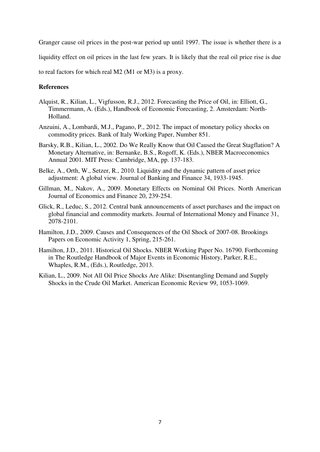Granger cause oil prices in the post-war period up until 1997. The issue is whether there is a

liquidity effect on oil prices in the last few years. It is likely that the real oil price rise is due

to real factors for which real M2 (M1 or M3) is a proxy.

# **References**

- Alquist, R., Kilian, L., Vigfusson, R.J., 2012. Forecasting the Price of Oil, in: Elliott, G., Timmermann, A. (Eds.), Handbook of Economic Forecasting, 2. Amsterdam: North-Holland.
- Anzuini, A., Lombardi, M.J., Pagano, P., 2012. The impact of monetary policy shocks on commodity prices. Bank of Italy Working Paper, Number 851.
- Barsky, R.B., Kilian, L., 2002. Do We Really Know that Oil Caused the Great Stagflation? A Monetary Alternative, in: Bernanke, B.S., Rogoff, K. (Eds.), NBER Macroeconomics Annual 2001. MIT Press: Cambridge, MA, pp. 137-183.
- Belke, A., Orth, W., Setzer, R., 2010. Liquidity and the dynamic pattern of asset price adjustment: A global view. Journal of Banking and Finance 34, 1933-1945.
- Gillman, M., Nakov, A., 2009. Monetary Effects on Nominal Oil Prices. North American Journal of Economics and Finance 20, 239-254.
- Glick, R., Leduc, S., 2012. Central bank announcements of asset purchases and the impact on global financial and commodity markets. Journal of International Money and Finance 31, 2078-2101.
- Hamilton, J.D., 2009. Causes and Consequences of the Oil Shock of 2007-08. Brookings Papers on Economic Activity 1, Spring, 215-261.
- Hamilton, J.D., 2011. Historical Oil Shocks. NBER Working Paper No. 16790. Forthcoming in The Routledge Handbook of Major Events in Economic History, Parker, R.E., Whaples, R.M., (Eds.), Routledge, 2013.
- Kilian, L., 2009. Not All Oil Price Shocks Are Alike: Disentangling Demand and Supply Shocks in the Crude Oil Market. American Economic Review 99, 1053-1069.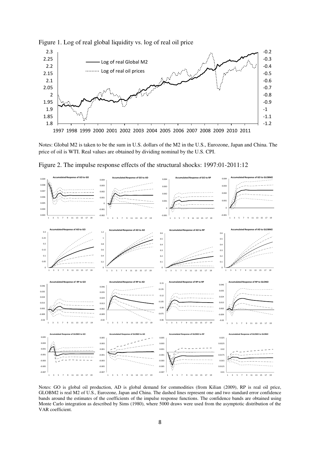

## Figure 1. Log of real global liquidity vs. log of real oil price





Figure 2. The impulse response effects of the structural shocks: 1997:01-2011:12

Notes: GO is global oil production, AD is global demand for commodities (from Kilian (2009), RP is real oil price, GLOBM2 is real M2 of U.S., Eurozone, Japan and China. The dashed lines represent one and two standard error confidence bands around the estimates of the coefficients of the impulse response functions. The confidence bands are obtained using Monte Carlo integration as described by Sims (1980), where 5000 draws were used from the asymptotic distribution of the VAR coefficient.